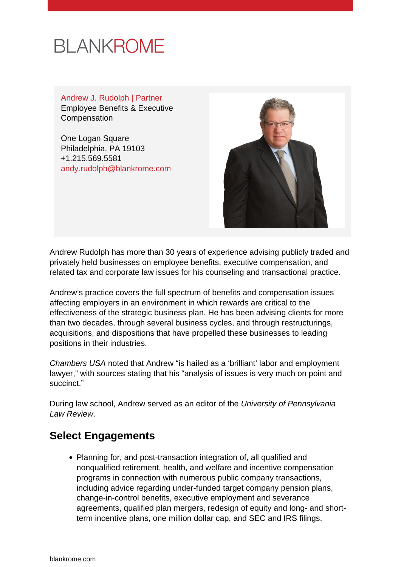# **BLANKROME**

Andrew J. Rudolph | Partner Employee Benefits & Executive Compensation

One Logan Square Philadelphia, PA 19103 +1.215.569.5581 [andy.rudolph@blankrome.com](mailto:andy.rudolph@blankrome.com)



Andrew Rudolph has more than 30 years of experience advising publicly traded and privately held businesses on employee benefits, executive compensation, and related tax and corporate law issues for his counseling and transactional practice.

Andrew's practice covers the full spectrum of benefits and compensation issues affecting employers in an environment in which rewards are critical to the effectiveness of the strategic business plan. He has been advising clients for more than two decades, through several business cycles, and through restructurings, acquisitions, and dispositions that have propelled these businesses to leading positions in their industries.

Chambers USA noted that Andrew "is hailed as a 'brilliant' labor and employment lawyer," with sources stating that his "analysis of issues is very much on point and succinct."

During law school, Andrew served as an editor of the University of Pennsylvania Law Review.

#### **Select Engagements**

• Planning for, and post-transaction integration of, all qualified and nonqualified retirement, health, and welfare and incentive compensation programs in connection with numerous public company transactions, including advice regarding under-funded target company pension plans, change-in-control benefits, executive employment and severance agreements, qualified plan mergers, redesign of equity and long- and shortterm incentive plans, one million dollar cap, and SEC and IRS filings.